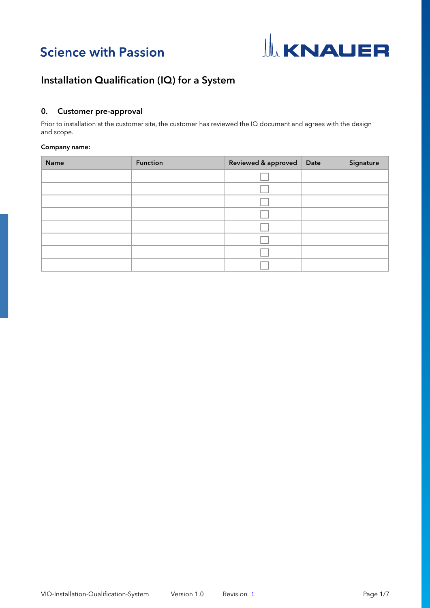



# 0. Customer pre-approval

Prior to installation at the customer site, the customer has reviewed the IQ document and agrees with the design and scope.

### Company name:

| Name | <b>Function</b> | Reviewed & approved | Date | Signature |
|------|-----------------|---------------------|------|-----------|
|      |                 |                     |      |           |
|      |                 |                     |      |           |
|      |                 |                     |      |           |
|      |                 |                     |      |           |
|      |                 |                     |      |           |
|      |                 |                     |      |           |
|      |                 |                     |      |           |
|      |                 |                     |      |           |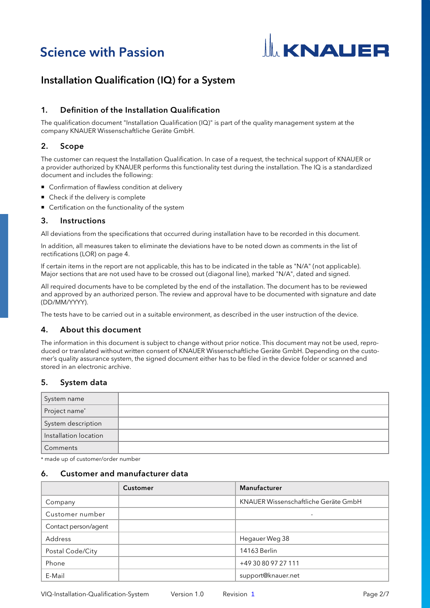# **Science with Passion**



# Installation Qualification (IQ) for a System

# 1. Definition of the Installation Qualification

The qualification document "Installation Qualification (IQ)" is part of the quality management system at the company KNAUER Wissenschaftliche Geräte GmbH.

# 2. Scope

The customer can request the Installation Qualification. In case of a request, the technical support of KNAUER or a provider authorized by KNAUER performs this functionality test during the installation. The IQ is a standardized document and includes the following:

- Confirmation of flawless condition at delivery
- Check if the delivery is complete
- Certification on the functionality of the system

# 3. Instructions

All deviations from the specifications that occurred during installation have to be recorded in this document.

In addition, all measures taken to eliminate the deviations have to be noted down as comments in the list of rectifications (LOR) [on page 4.](#page-3-0)

If certain items in the report are not applicable, this has to be indicated in the table as "N/A" (not applicable). Major sections that are not used have to be crossed out (diagonal line), marked "N/A", dated and signed.

All required documents have to be completed by the end of the installation. The document has to be reviewed and approved by an authorized person. The review and approval have to be documented with signature and date (DD/MM/YYYY).

The tests have to be carried out in a suitable environment, as described in the user instruction of the device.

## 4. About this document

The information in this document is subject to change without prior notice. This document may not be used, reproduced or translated without written consent of KNAUER Wissenschaftliche Geräte GmbH. Depending on the customer's quality assurance system, the signed document either has to be filed in the device folder or scanned and stored in an electronic archive.

# 5. System data

| System name           |  |
|-----------------------|--|
| Project name*         |  |
| System description    |  |
| Installation location |  |
| Comments              |  |

\* made up of customer/order number

# 6. Customer and manufacturer data

|                      | Customer | Manufacturer                         |
|----------------------|----------|--------------------------------------|
| Company              |          | KNAUER Wissenschaftliche Geräte GmbH |
| Customer number      |          |                                      |
| Contact person/agent |          |                                      |
| Address              |          | Hegauer Weg 38                       |
| Postal Code/City     |          | 14163 Berlin                         |
| Phone                |          | +49 30 80 97 27 111                  |
| E-Mail               |          | support@knauer.net                   |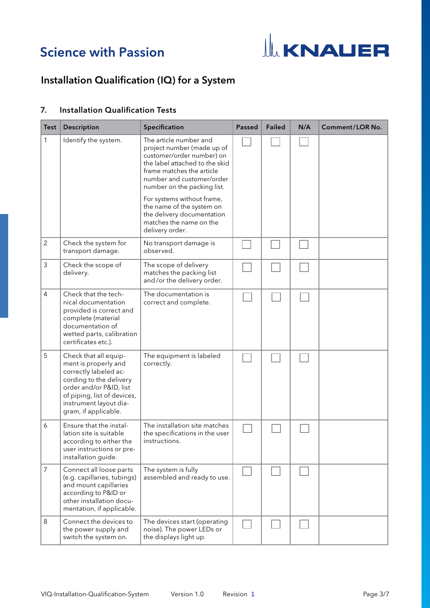# **Science with Passion**



# Installation Qualification (IQ) for a System

# 7. Installation Qualification Tests

| <b>Test</b>    | Description                                                                                                                                                                                                   | Specification                                                                                                                                                                                                                                                                                                                                       | <b>Passed</b> | <b>Failed</b> | N/A | Comment/LOR No. |
|----------------|---------------------------------------------------------------------------------------------------------------------------------------------------------------------------------------------------------------|-----------------------------------------------------------------------------------------------------------------------------------------------------------------------------------------------------------------------------------------------------------------------------------------------------------------------------------------------------|---------------|---------------|-----|-----------------|
| $\mathbf{1}$   | Identify the system.                                                                                                                                                                                          | The article number and<br>project number (made up of<br>customer/order number) on<br>the label attached to the skid<br>frame matches the article<br>number and customer/order<br>number on the packing list.<br>For systems without frame,<br>the name of the system on<br>the delivery documentation<br>matches the name on the<br>delivery order. |               |               |     |                 |
| $\overline{2}$ | Check the system for<br>transport damage.                                                                                                                                                                     | No transport damage is<br>observed.                                                                                                                                                                                                                                                                                                                 |               |               |     |                 |
| 3              | Check the scope of<br>delivery.                                                                                                                                                                               | The scope of delivery<br>matches the packing list<br>and/or the delivery order.                                                                                                                                                                                                                                                                     |               |               |     |                 |
| $\overline{4}$ | Check that the tech-<br>nical documentation<br>provided is correct and<br>complete (material<br>documentation of<br>wetted parts, calibration<br>certificates etc.).                                          | The documentation is<br>correct and complete.                                                                                                                                                                                                                                                                                                       |               |               |     |                 |
| 5              | Check that all equip-<br>ment is properly and<br>correctly labeled ac-<br>cording to the delivery<br>order and/or P&ID, list<br>of piping, list of devices,<br>instrument layout dia-<br>gram, if applicable. | The equipment is labeled<br>correctly.                                                                                                                                                                                                                                                                                                              |               |               |     |                 |
| 6              | Ensure that the instal-<br>lation site is suitable<br>according to either the<br>user instructions or pre-<br>installation guide.                                                                             | The installation site matches<br>the specifications in the user<br>instructions.                                                                                                                                                                                                                                                                    |               |               |     |                 |
| 7              | Connect all loose parts<br>(e.g. capillaries, tubings)<br>and mount capillaries<br>according to P&ID or<br>other installation docu-<br>mentation, if applicable.                                              | The system is fully<br>assembled and ready to use.                                                                                                                                                                                                                                                                                                  |               |               |     |                 |
| 8              | Connect the devices to<br>the power supply and<br>switch the system on.                                                                                                                                       | The devices start (operating<br>noise). The power LEDs or<br>the displays light up.                                                                                                                                                                                                                                                                 |               |               |     |                 |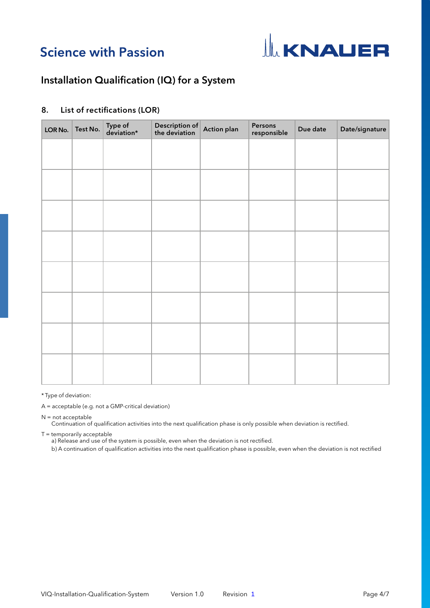# **Science with Passion**



# Installation Qualification (IQ) for a System

# <span id="page-3-0"></span>8. List of rectifications (LOR)

| LOR No. | Test No. | Type of<br>deviation* | Description of<br>the deviation | <b>Action plan</b> | Persons<br>responsible | Due date | Date/signature |
|---------|----------|-----------------------|---------------------------------|--------------------|------------------------|----------|----------------|
|         |          |                       |                                 |                    |                        |          |                |
|         |          |                       |                                 |                    |                        |          |                |
|         |          |                       |                                 |                    |                        |          |                |
|         |          |                       |                                 |                    |                        |          |                |
|         |          |                       |                                 |                    |                        |          |                |
|         |          |                       |                                 |                    |                        |          |                |
|         |          |                       |                                 |                    |                        |          |                |
|         |          |                       |                                 |                    |                        |          |                |
|         |          |                       |                                 |                    |                        |          |                |
|         |          |                       |                                 |                    |                        |          |                |

\* Type of deviation:

A = acceptable (e.g. not a GMP-critical deviation)

N = not acceptable

Continuation of qualification activities into the next qualification phase is only possible when deviation is rectified.

T = temporarily acceptable

a) Release and use of the system is possible, even when the deviation is not rectified.

b) A continuation of qualification activities into the next qualification phase is possible, even when the deviation is not rectified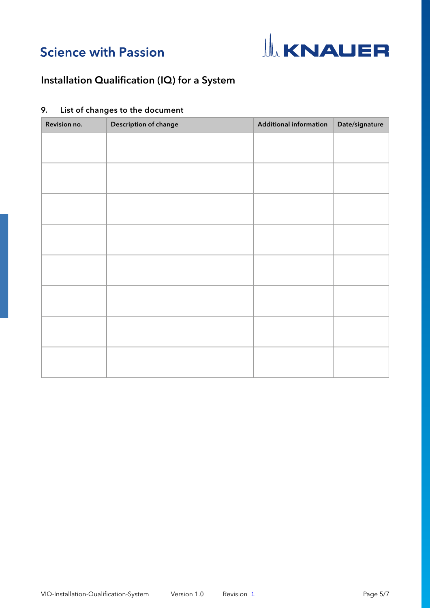



# Revision no. <br>
Description of change Additional information Date/signature

# 9. List of changes to the document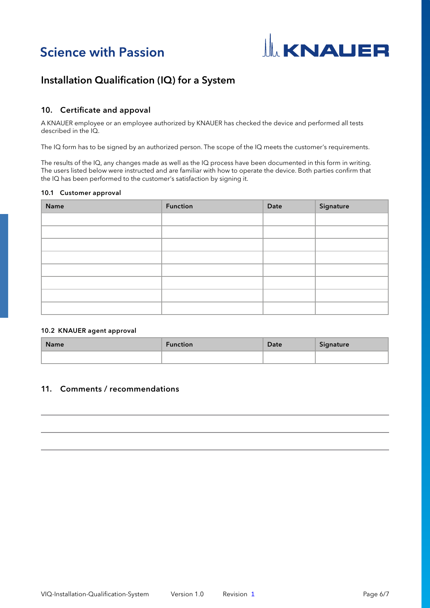



# 10. Certificate and appoval

A KNAUER employee or an employee authorized by KNAUER has checked the device and performed all tests described in the IQ.

The IQ form has to be signed by an authorized person. The scope of the IQ meets the customer's requirements.

The results of the IQ, any changes made as well as the IQ process have been documented in this form in writing. The users listed below were instructed and are familiar with how to operate the device. Both parties confirm that the IQ has been performed to the customer's satisfaction by signing it.

### 10.1 Customer approval

| Name | <b>Function</b> | Date | Signature |
|------|-----------------|------|-----------|
|      |                 |      |           |
|      |                 |      |           |
|      |                 |      |           |
|      |                 |      |           |
|      |                 |      |           |
|      |                 |      |           |
|      |                 |      |           |
|      |                 |      |           |

### 10.2 KNAUER agent approval

| <b>Name</b> | <b>Function</b> | Date | Signature |
|-------------|-----------------|------|-----------|
|             |                 |      |           |

# 11. Comments / recommendations